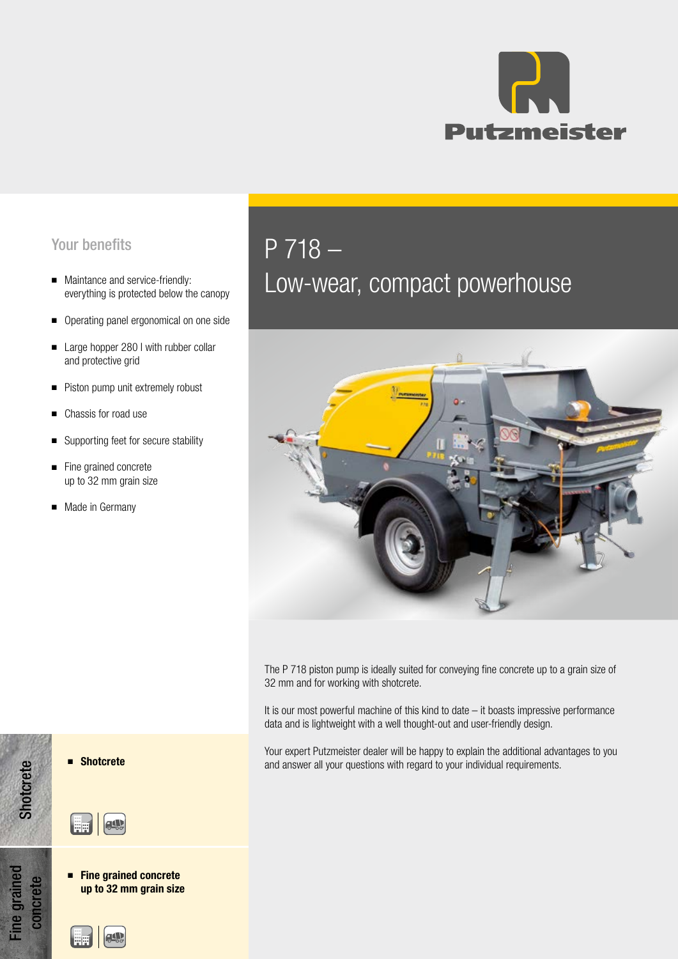

## Your benefits

- Maintance and service-friendly: everything is protected below the canopy
- Operating panel ergonomical on one side
- Large hopper 280 I with rubber collar and protective grid
- Piston pump unit extremely robust
- Chassis for road use
- Supporting feet for secure stability
- Fine grained concrete up to 32 mm grain size
- Made in Germany

## P 718 –

# Low-wear, compact powerhouse



The P 718 piston pump is ideally suited for conveying fine concrete up to a grain size of 32 mm and for working with shotcrete.

It is our most powerful machine of this kind to date – it boasts impressive performance data and is lightweight with a well thought-out and user-friendly design.

Your expert Putzmeister dealer will be happy to explain the additional advantages to you ■ Shotcrete and answer all your questions with regard to your individual requirements.





■ Fine grained concrete up to 32 mm grain size

**ALL** 

**Shotcrete**